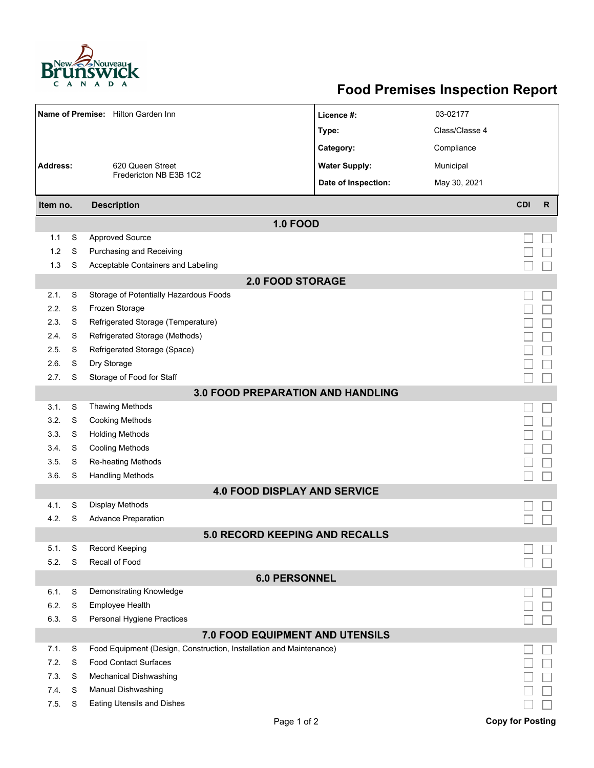

## **Food Premises Inspection Report**

| Name of Premise: Hilton Garden Inn       |   |                                                                     | Licence #:           | 03-02177       |                         |              |  |  |  |  |
|------------------------------------------|---|---------------------------------------------------------------------|----------------------|----------------|-------------------------|--------------|--|--|--|--|
|                                          |   |                                                                     | Type:                | Class/Classe 4 |                         |              |  |  |  |  |
|                                          |   |                                                                     | Category:            | Compliance     |                         |              |  |  |  |  |
| <b>Address:</b><br>620 Queen Street      |   |                                                                     | <b>Water Supply:</b> | Municipal      |                         |              |  |  |  |  |
|                                          |   | Fredericton NB E3B 1C2                                              | Date of Inspection:  | May 30, 2021   |                         |              |  |  |  |  |
|                                          |   |                                                                     |                      |                | <b>CDI</b>              | $\mathsf{R}$ |  |  |  |  |
| <b>Description</b><br>Item no.           |   |                                                                     |                      |                |                         |              |  |  |  |  |
|                                          |   | <b>1.0 FOOD</b>                                                     |                      |                |                         |              |  |  |  |  |
| 1.1                                      | S | <b>Approved Source</b>                                              |                      |                |                         |              |  |  |  |  |
| 1.2                                      | S | Purchasing and Receiving                                            |                      |                |                         |              |  |  |  |  |
| 1.3                                      | S | Acceptable Containers and Labeling                                  |                      |                |                         |              |  |  |  |  |
| <b>2.0 FOOD STORAGE</b>                  |   |                                                                     |                      |                |                         |              |  |  |  |  |
| 2.1.                                     | S | Storage of Potentially Hazardous Foods                              |                      |                |                         |              |  |  |  |  |
| 2.2.                                     | S | Frozen Storage                                                      |                      |                |                         |              |  |  |  |  |
| 2.3.                                     | S | Refrigerated Storage (Temperature)                                  |                      |                |                         |              |  |  |  |  |
| 2.4.                                     | S | Refrigerated Storage (Methods)                                      |                      |                |                         |              |  |  |  |  |
| 2.5.                                     | S | Refrigerated Storage (Space)                                        |                      |                |                         |              |  |  |  |  |
| 2.6.                                     | S | Dry Storage                                                         |                      |                |                         |              |  |  |  |  |
| 2.7.                                     | S | Storage of Food for Staff                                           |                      |                |                         |              |  |  |  |  |
| <b>3.0 FOOD PREPARATION AND HANDLING</b> |   |                                                                     |                      |                |                         |              |  |  |  |  |
| 3.1.                                     | S | <b>Thawing Methods</b>                                              |                      |                |                         |              |  |  |  |  |
| 3.2.                                     | S | <b>Cooking Methods</b>                                              |                      |                |                         |              |  |  |  |  |
| 3.3.                                     | S | <b>Holding Methods</b>                                              |                      |                |                         |              |  |  |  |  |
| 3.4.                                     | S | <b>Cooling Methods</b>                                              |                      |                |                         |              |  |  |  |  |
| 3.5.                                     | S | <b>Re-heating Methods</b>                                           |                      |                |                         |              |  |  |  |  |
| 3.6.                                     | S | <b>Handling Methods</b>                                             |                      |                |                         |              |  |  |  |  |
|                                          |   | <b>4.0 FOOD DISPLAY AND SERVICE</b>                                 |                      |                |                         |              |  |  |  |  |
| 4.1.                                     | S | <b>Display Methods</b>                                              |                      |                |                         |              |  |  |  |  |
| 4.2.                                     | S | <b>Advance Preparation</b>                                          |                      |                |                         |              |  |  |  |  |
|                                          |   | 5.0 RECORD KEEPING AND RECALLS                                      |                      |                |                         |              |  |  |  |  |
| 5.1.                                     | S | Record Keeping                                                      |                      |                |                         |              |  |  |  |  |
| 5.2.                                     | S | Recall of Food                                                      |                      |                |                         |              |  |  |  |  |
| <b>6.0 PERSONNEL</b>                     |   |                                                                     |                      |                |                         |              |  |  |  |  |
| 6.1.                                     | S | Demonstrating Knowledge                                             |                      |                |                         |              |  |  |  |  |
| 6.2.                                     | S | <b>Employee Health</b>                                              |                      |                |                         |              |  |  |  |  |
| 6.3.                                     | S | Personal Hygiene Practices                                          |                      |                |                         |              |  |  |  |  |
| 7.0 FOOD EQUIPMENT AND UTENSILS          |   |                                                                     |                      |                |                         |              |  |  |  |  |
| 7.1.                                     | S | Food Equipment (Design, Construction, Installation and Maintenance) |                      |                |                         |              |  |  |  |  |
| 7.2.                                     | S | <b>Food Contact Surfaces</b>                                        |                      |                |                         |              |  |  |  |  |
| 7.3.                                     | S | <b>Mechanical Dishwashing</b>                                       |                      |                |                         |              |  |  |  |  |
| 7.4.                                     | S | Manual Dishwashing                                                  |                      |                |                         |              |  |  |  |  |
| 7.5.                                     | S | <b>Eating Utensils and Dishes</b>                                   |                      |                |                         |              |  |  |  |  |
|                                          |   | Page 1 of 2                                                         |                      |                | <b>Copy for Posting</b> |              |  |  |  |  |